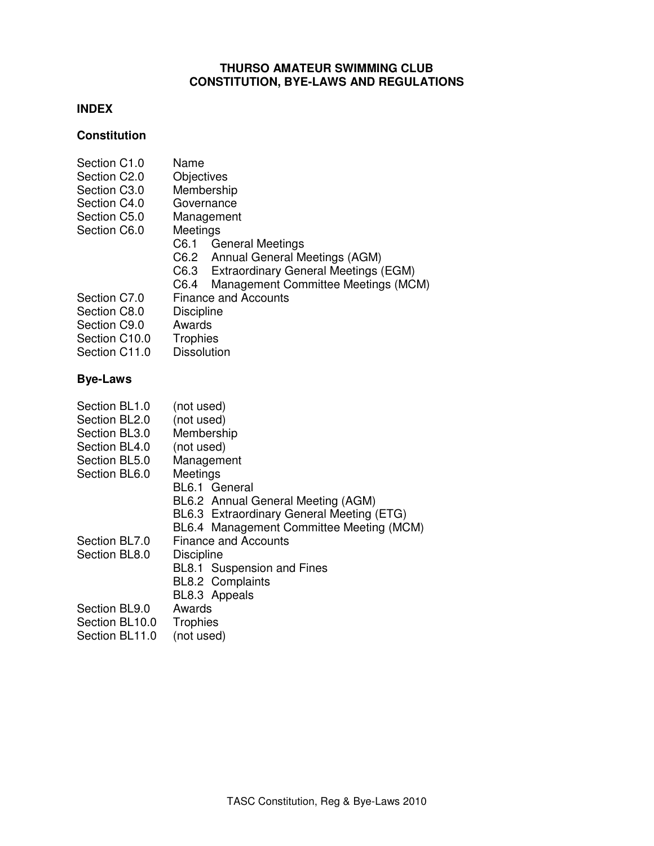# **THURSO AMATEUR SWIMMING CLUB CONSTITUTION, BYE-LAWS AND REGULATIONS**

# **INDEX**

# **Constitution**

| Section C1.0  | Name                                        |  |
|---------------|---------------------------------------------|--|
| Section C2.0  | Objectives                                  |  |
| Section C3.0  | Membership                                  |  |
| Section C4.0  | Governance                                  |  |
| Section C5.0  | Management                                  |  |
| Section C6.0  | Meetings                                    |  |
|               | C6.1<br><b>General Meetings</b>             |  |
|               | C6.2 Annual General Meetings (AGM)          |  |
|               | C6.3 Extraordinary General Meetings (EGM)   |  |
|               | Management Committee Meetings (MCM)<br>C6.4 |  |
| Section C7.0  | <b>Finance and Accounts</b>                 |  |
| Section C8.0  | <b>Discipline</b>                           |  |
| Section C9.0  | Awards                                      |  |
| Section C10.0 | Trophies                                    |  |
| Section C11.0 | <b>Dissolution</b>                          |  |
|               |                                             |  |

# **Bye-Laws**

| Section BL1.0  | (not used)                                |
|----------------|-------------------------------------------|
| Section BL2.0  | (not used)                                |
| Section BL3.0  | Membership                                |
| Section BL4.0  | (not used)                                |
| Section BL5.0  | Management                                |
| Section BL6.0  | Meetings                                  |
|                | BL6.1 General                             |
|                | BL6.2 Annual General Meeting (AGM)        |
|                | BL6.3 Extraordinary General Meeting (ETG) |
|                | BL6.4 Management Committee Meeting (MCM)  |
| Section BL7.0  | <b>Finance and Accounts</b>               |
| Section BL8.0  | <b>Discipline</b>                         |
|                | BL8.1 Suspension and Fines                |
|                | <b>BL8.2 Complaints</b>                   |
|                | BL8.3 Appeals                             |
| Section BL9.0  | Awards                                    |
| Section BL10.0 | Trophies                                  |
|                |                                           |

Section BL11.0 (not used)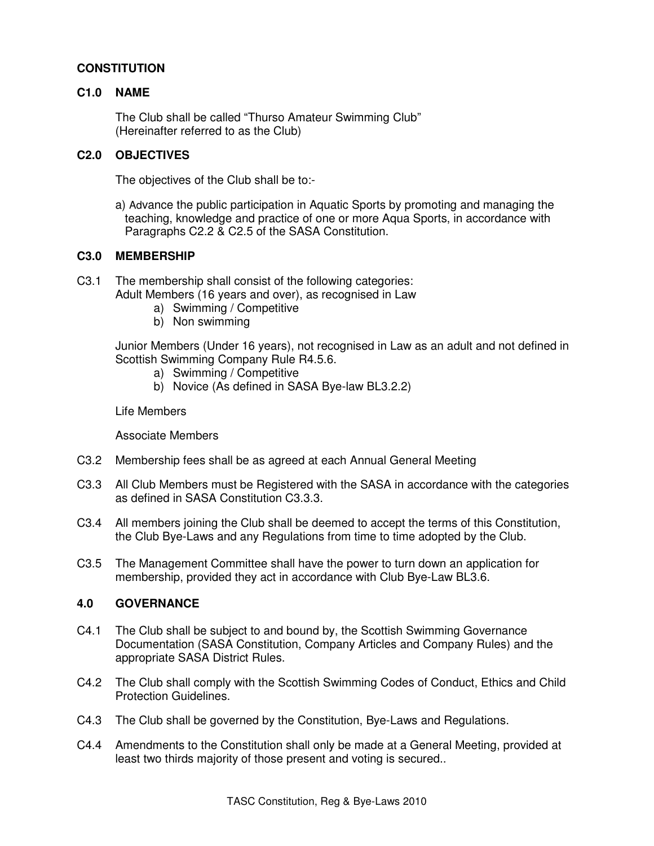# **CONSTITUTION**

## **C1.0 NAME**

 The Club shall be called "Thurso Amateur Swimming Club" (Hereinafter referred to as the Club)

# **C2.0 OBJECTIVES**

The objectives of the Club shall be to:-

a) Advance the public participation in Aquatic Sports by promoting and managing the teaching, knowledge and practice of one or more Aqua Sports, in accordance with Paragraphs C2.2 & C2.5 of the SASA Constitution.

### **C3.0 MEMBERSHIP**

- C3.1 The membership shall consist of the following categories:
	- Adult Members (16 years and over), as recognised in Law
		- a) Swimming / Competitive
		- b) Non swimming

 Junior Members (Under 16 years), not recognised in Law as an adult and not defined in Scottish Swimming Company Rule R4.5.6.

- a) Swimming / Competitive
- b) Novice (As defined in SASA Bye-law BL3.2.2)

Life Members

Associate Members

- C3.2 Membership fees shall be as agreed at each Annual General Meeting
- C3.3 All Club Members must be Registered with the SASA in accordance with the categories as defined in SASA Constitution C3.3.3.
- C3.4 All members joining the Club shall be deemed to accept the terms of this Constitution, the Club Bye-Laws and any Regulations from time to time adopted by the Club.
- C3.5 The Management Committee shall have the power to turn down an application for membership, provided they act in accordance with Club Bye-Law BL3.6.

#### **4.0 GOVERNANCE**

- C4.1 The Club shall be subject to and bound by, the Scottish Swimming Governance Documentation (SASA Constitution, Company Articles and Company Rules) and the appropriate SASA District Rules.
- C4.2 The Club shall comply with the Scottish Swimming Codes of Conduct, Ethics and Child Protection Guidelines.
- C4.3 The Club shall be governed by the Constitution, Bye-Laws and Regulations.
- C4.4 Amendments to the Constitution shall only be made at a General Meeting, provided at least two thirds majority of those present and voting is secured..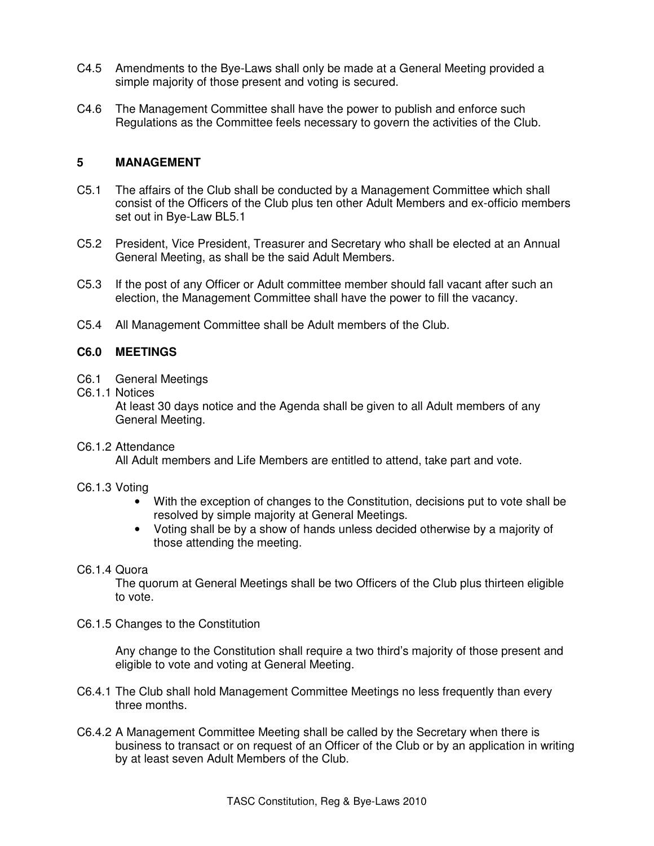- C4.5 Amendments to the Bye-Laws shall only be made at a General Meeting provided a simple majority of those present and voting is secured.
- C4.6 The Management Committee shall have the power to publish and enforce such Regulations as the Committee feels necessary to govern the activities of the Club.

## **5 MANAGEMENT**

- C5.1 The affairs of the Club shall be conducted by a Management Committee which shall consist of the Officers of the Club plus ten other Adult Members and ex-officio members set out in Bye-Law BL5.1
- C5.2 President, Vice President, Treasurer and Secretary who shall be elected at an Annual General Meeting, as shall be the said Adult Members.
- C5.3 If the post of any Officer or Adult committee member should fall vacant after such an election, the Management Committee shall have the power to fill the vacancy.
- C5.4 All Management Committee shall be Adult members of the Club.

## **C6.0 MEETINGS**

- C6.1 General Meetings
- C6.1.1 Notices

 At least 30 days notice and the Agenda shall be given to all Adult members of any General Meeting.

C6.1.2 Attendance

All Adult members and Life Members are entitled to attend, take part and vote.

- C6.1.3 Voting
	- With the exception of changes to the Constitution, decisions put to vote shall be resolved by simple majority at General Meetings.
	- Voting shall be by a show of hands unless decided otherwise by a majority of those attending the meeting.

### C6.1.4 Quora

The quorum at General Meetings shall be two Officers of the Club plus thirteen eligible to vote.

C6.1.5 Changes to the Constitution

Any change to the Constitution shall require a two third's majority of those present and eligible to vote and voting at General Meeting.

- C6.4.1 The Club shall hold Management Committee Meetings no less frequently than every three months.
- C6.4.2 A Management Committee Meeting shall be called by the Secretary when there is business to transact or on request of an Officer of the Club or by an application in writing by at least seven Adult Members of the Club.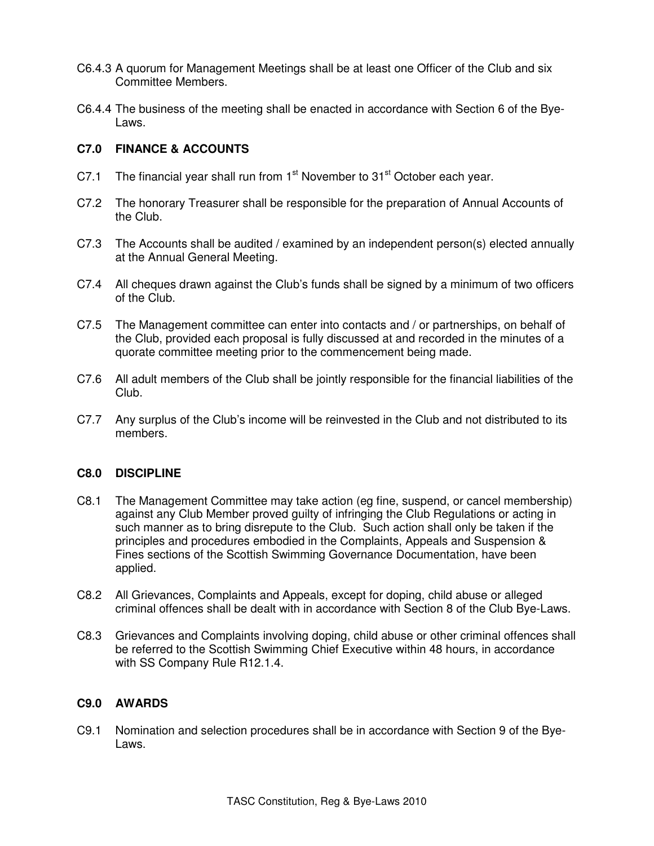- C6.4.3 A quorum for Management Meetings shall be at least one Officer of the Club and six Committee Members.
- C6.4.4 The business of the meeting shall be enacted in accordance with Section 6 of the Bye-Laws.

# **C7.0 FINANCE & ACCOUNTS**

- C7.1 The financial year shall run from  $1<sup>st</sup>$  November to  $31<sup>st</sup>$  October each year.
- C7.2 The honorary Treasurer shall be responsible for the preparation of Annual Accounts of the Club.
- C7.3 The Accounts shall be audited / examined by an independent person(s) elected annually at the Annual General Meeting.
- C7.4 All cheques drawn against the Club's funds shall be signed by a minimum of two officers of the Club.
- C7.5 The Management committee can enter into contacts and / or partnerships, on behalf of the Club, provided each proposal is fully discussed at and recorded in the minutes of a quorate committee meeting prior to the commencement being made.
- C7.6 All adult members of the Club shall be jointly responsible for the financial liabilities of the Club.
- C7.7 Any surplus of the Club's income will be reinvested in the Club and not distributed to its members.

# **C8.0 DISCIPLINE**

- C8.1 The Management Committee may take action (eg fine, suspend, or cancel membership) against any Club Member proved guilty of infringing the Club Regulations or acting in such manner as to bring disrepute to the Club. Such action shall only be taken if the principles and procedures embodied in the Complaints, Appeals and Suspension & Fines sections of the Scottish Swimming Governance Documentation, have been applied.
- C8.2 All Grievances, Complaints and Appeals, except for doping, child abuse or alleged criminal offences shall be dealt with in accordance with Section 8 of the Club Bye-Laws.
- C8.3 Grievances and Complaints involving doping, child abuse or other criminal offences shall be referred to the Scottish Swimming Chief Executive within 48 hours, in accordance with SS Company Rule R12.1.4.

#### **C9.0 AWARDS**

C9.1 Nomination and selection procedures shall be in accordance with Section 9 of the Bye-Laws.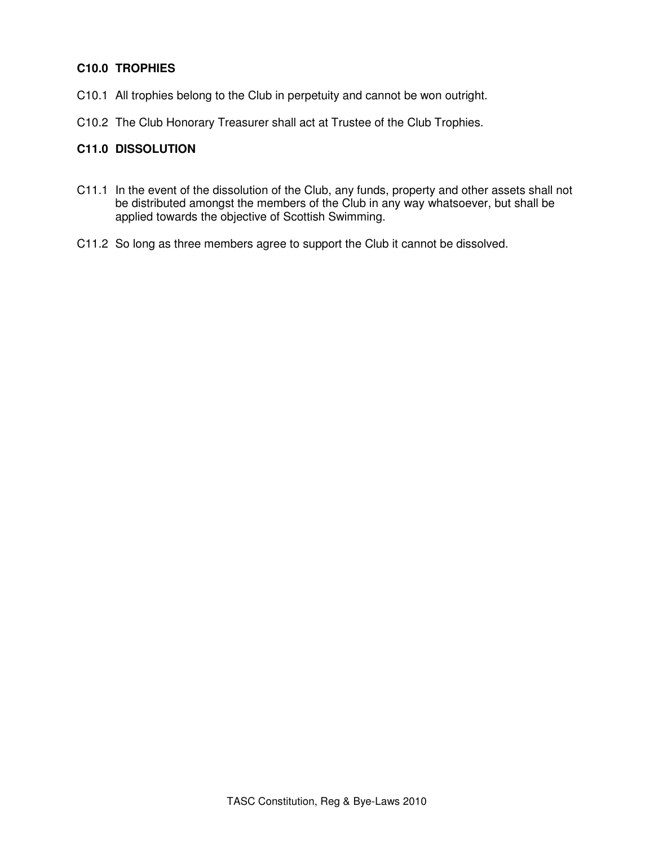# **C10.0 TROPHIES**

- C10.1 All trophies belong to the Club in perpetuity and cannot be won outright.
- C10.2 The Club Honorary Treasurer shall act at Trustee of the Club Trophies.

# **C11.0 DISSOLUTION**

- C11.1 In the event of the dissolution of the Club, any funds, property and other assets shall not be distributed amongst the members of the Club in any way whatsoever, but shall be applied towards the objective of Scottish Swimming.
- C11.2 So long as three members agree to support the Club it cannot be dissolved.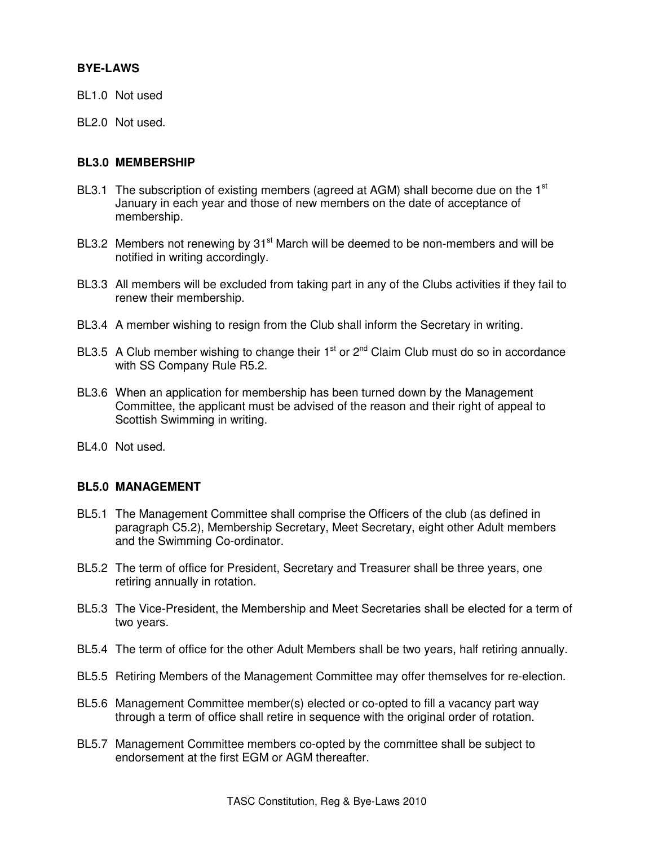# **BYE-LAWS**

- BL1.0 Not used
- BL2.0 Not used.

### **BL3.0 MEMBERSHIP**

- BL3.1 The subscription of existing members (agreed at AGM) shall become due on the  $1<sup>st</sup>$ January in each year and those of new members on the date of acceptance of membership.
- BL3.2 Members not renewing by 31<sup>st</sup> March will be deemed to be non-members and will be notified in writing accordingly.
- BL3.3 All members will be excluded from taking part in any of the Clubs activities if they fail to renew their membership.
- BL3.4 A member wishing to resign from the Club shall inform the Secretary in writing.
- BL3.5 A Club member wishing to change their  $1<sup>st</sup>$  or  $2<sup>nd</sup>$  Claim Club must do so in accordance with SS Company Rule R5.2.
- BL3.6 When an application for membership has been turned down by the Management Committee, the applicant must be advised of the reason and their right of appeal to Scottish Swimming in writing.
- BL4.0 Not used.

#### **BL5.0 MANAGEMENT**

- BL5.1 The Management Committee shall comprise the Officers of the club (as defined in paragraph C5.2), Membership Secretary, Meet Secretary, eight other Adult members and the Swimming Co-ordinator.
- BL5.2 The term of office for President, Secretary and Treasurer shall be three years, one retiring annually in rotation.
- BL5.3 The Vice-President, the Membership and Meet Secretaries shall be elected for a term of two years.
- BL5.4 The term of office for the other Adult Members shall be two years, half retiring annually.
- BL5.5 Retiring Members of the Management Committee may offer themselves for re-election.
- BL5.6 Management Committee member(s) elected or co-opted to fill a vacancy part way through a term of office shall retire in sequence with the original order of rotation.
- BL5.7 Management Committee members co-opted by the committee shall be subject to endorsement at the first EGM or AGM thereafter.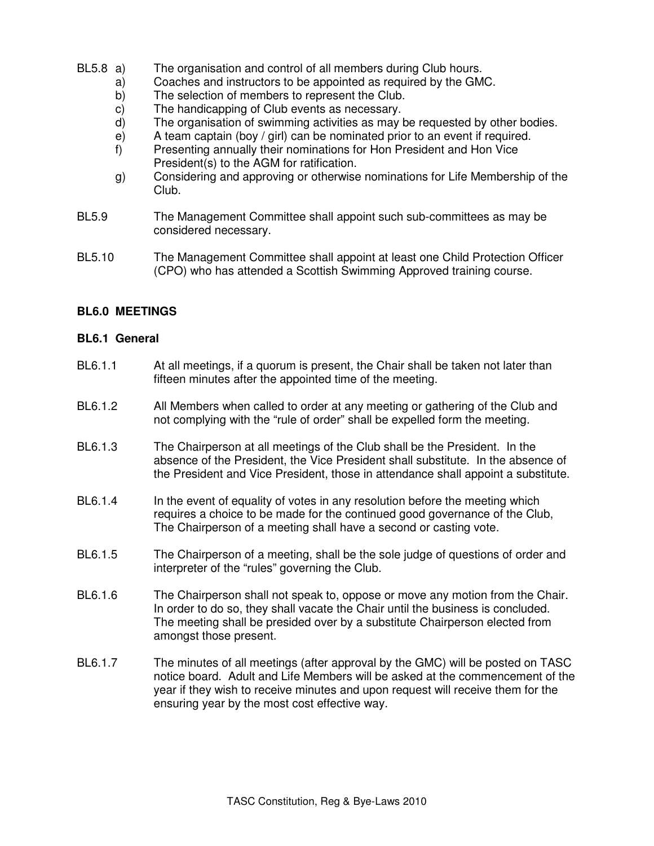- BL5.8 a) The organisation and control of all members during Club hours.
	- a) Coaches and instructors to be appointed as required by the GMC.
		- b) The selection of members to represent the Club.
		- c) The handicapping of Club events as necessary.
		- d) The organisation of swimming activities as may be requested by other bodies.
		- e) A team captain (boy / girl) can be nominated prior to an event if required.
		- f) Presenting annually their nominations for Hon President and Hon Vice President(s) to the AGM for ratification.
		- g) Considering and approving or otherwise nominations for Life Membership of the Club.
- BL5.9 The Management Committee shall appoint such sub-committees as may be considered necessary.
- BL5.10 The Management Committee shall appoint at least one Child Protection Officer (CPO) who has attended a Scottish Swimming Approved training course.

# **BL6.0 MEETINGS**

#### **BL6.1 General**

- BL6.1.1 At all meetings, if a quorum is present, the Chair shall be taken not later than fifteen minutes after the appointed time of the meeting.
- BL6.1.2 All Members when called to order at any meeting or gathering of the Club and not complying with the "rule of order" shall be expelled form the meeting.
- BL6.1.3 The Chairperson at all meetings of the Club shall be the President. In the absence of the President, the Vice President shall substitute. In the absence of the President and Vice President, those in attendance shall appoint a substitute.
- BL6.1.4 In the event of equality of votes in any resolution before the meeting which requires a choice to be made for the continued good governance of the Club, The Chairperson of a meeting shall have a second or casting vote.
- BL6.1.5 The Chairperson of a meeting, shall be the sole judge of questions of order and interpreter of the "rules" governing the Club.
- BL6.1.6 The Chairperson shall not speak to, oppose or move any motion from the Chair. In order to do so, they shall vacate the Chair until the business is concluded. The meeting shall be presided over by a substitute Chairperson elected from amongst those present.
- BL6.1.7 The minutes of all meetings (after approval by the GMC) will be posted on TASC notice board. Adult and Life Members will be asked at the commencement of the year if they wish to receive minutes and upon request will receive them for the ensuring year by the most cost effective way.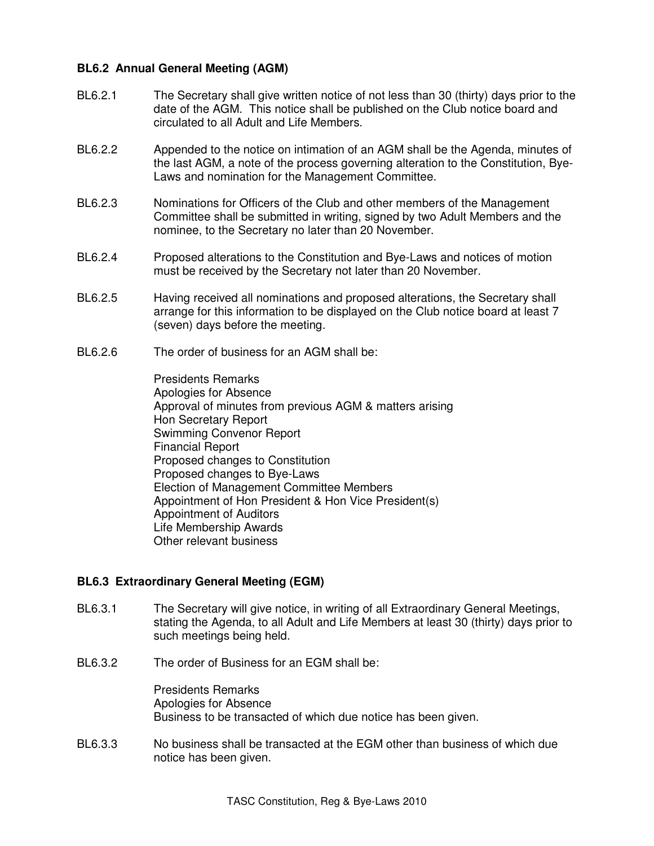# **BL6.2 Annual General Meeting (AGM)**

- BL6.2.1 The Secretary shall give written notice of not less than 30 (thirty) days prior to the date of the AGM. This notice shall be published on the Club notice board and circulated to all Adult and Life Members.
- BL6.2.2 Appended to the notice on intimation of an AGM shall be the Agenda, minutes of the last AGM, a note of the process governing alteration to the Constitution, Bye-Laws and nomination for the Management Committee.
- BL6.2.3 Nominations for Officers of the Club and other members of the Management Committee shall be submitted in writing, signed by two Adult Members and the nominee, to the Secretary no later than 20 November.
- BL6.2.4 Proposed alterations to the Constitution and Bye-Laws and notices of motion must be received by the Secretary not later than 20 November.
- BL6.2.5 Having received all nominations and proposed alterations, the Secretary shall arrange for this information to be displayed on the Club notice board at least 7 (seven) days before the meeting.
- BL6.2.6 The order of business for an AGM shall be:

 Presidents Remarks Apologies for Absence Approval of minutes from previous AGM & matters arising Hon Secretary Report Swimming Convenor Report Financial Report Proposed changes to Constitution Proposed changes to Bye-Laws Election of Management Committee Members Appointment of Hon President & Hon Vice President(s) Appointment of Auditors Life Membership Awards Other relevant business

#### **BL6.3 Extraordinary General Meeting (EGM)**

- BL6.3.1 The Secretary will give notice, in writing of all Extraordinary General Meetings, stating the Agenda, to all Adult and Life Members at least 30 (thirty) days prior to such meetings being held.
- BL6.3.2 The order of Business for an EGM shall be:

 Presidents Remarks Apologies for Absence Business to be transacted of which due notice has been given.

BL6.3.3 No business shall be transacted at the EGM other than business of which due notice has been given.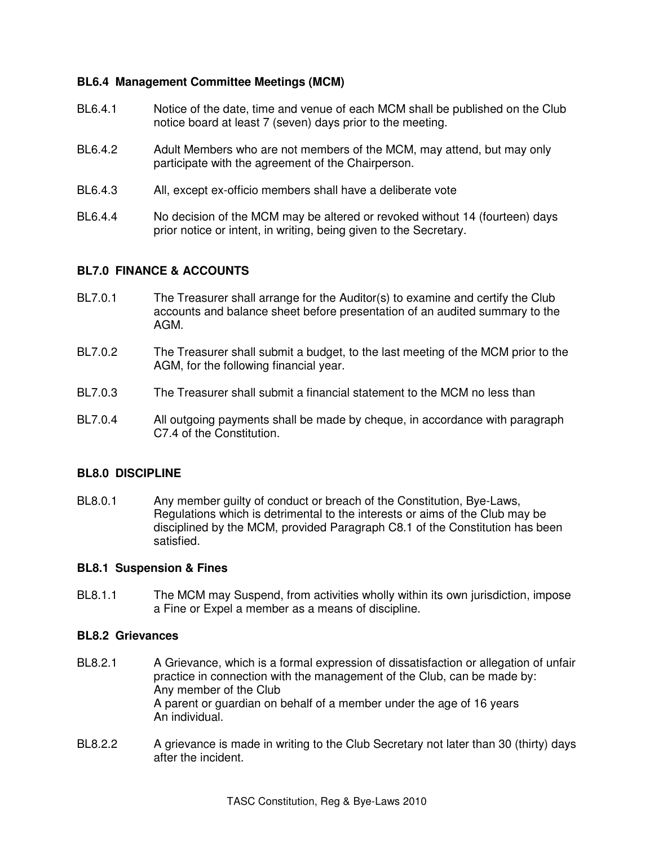## **BL6.4 Management Committee Meetings (MCM)**

- BL6.4.1 Notice of the date, time and venue of each MCM shall be published on the Club notice board at least 7 (seven) days prior to the meeting.
- BL6.4.2 Adult Members who are not members of the MCM, may attend, but may only participate with the agreement of the Chairperson.
- BL6.4.3 All, except ex-officio members shall have a deliberate vote
- BL6.4.4 No decision of the MCM may be altered or revoked without 14 (fourteen) days prior notice or intent, in writing, being given to the Secretary.

## **BL7.0 FINANCE & ACCOUNTS**

- BL7.0.1 The Treasurer shall arrange for the Auditor(s) to examine and certify the Club accounts and balance sheet before presentation of an audited summary to the AGM.
- BL7.0.2 The Treasurer shall submit a budget, to the last meeting of the MCM prior to the AGM, for the following financial year.
- BL7.0.3 The Treasurer shall submit a financial statement to the MCM no less than
- BL7.0.4 All outgoing payments shall be made by cheque, in accordance with paragraph C7.4 of the Constitution.

#### **BL8.0 DISCIPLINE**

BL8.0.1 Any member guilty of conduct or breach of the Constitution, Bye-Laws, Regulations which is detrimental to the interests or aims of the Club may be disciplined by the MCM, provided Paragraph C8.1 of the Constitution has been satisfied.

#### **BL8.1 Suspension & Fines**

BL8.1.1 The MCM may Suspend, from activities wholly within its own jurisdiction, impose a Fine or Expel a member as a means of discipline.

### **BL8.2 Grievances**

- BL8.2.1 A Grievance, which is a formal expression of dissatisfaction or allegation of unfair practice in connection with the management of the Club, can be made by: Any member of the Club A parent or guardian on behalf of a member under the age of 16 years An individual.
- BL8.2.2 A grievance is made in writing to the Club Secretary not later than 30 (thirty) days after the incident.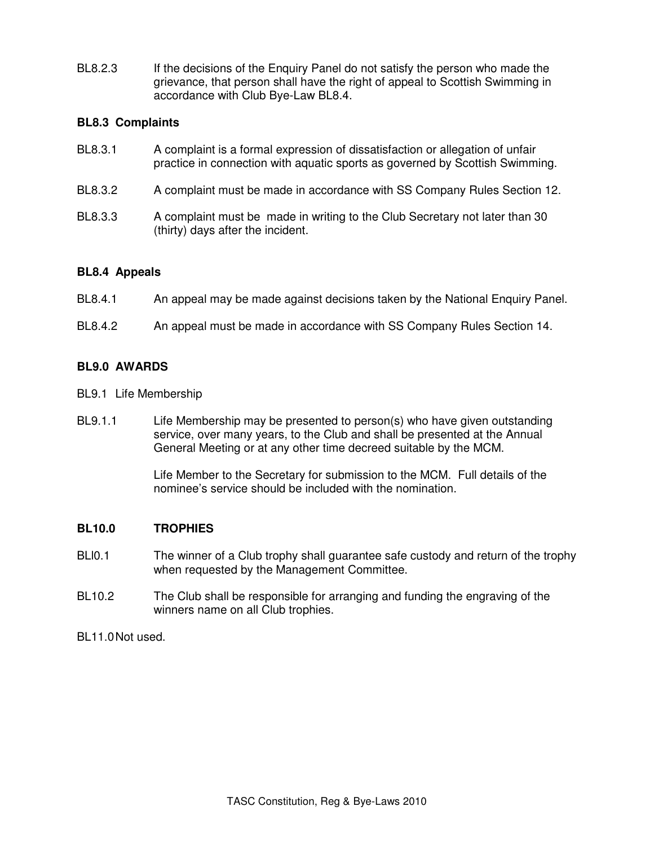BL8.2.3 If the decisions of the Enquiry Panel do not satisfy the person who made the grievance, that person shall have the right of appeal to Scottish Swimming in accordance with Club Bye-Law BL8.4.

# **BL8.3 Complaints**

| BL8.3.1 | A complaint is a formal expression of dissatisfaction or allegation of unfair<br>practice in connection with aquatic sports as governed by Scottish Swimming. |
|---------|---------------------------------------------------------------------------------------------------------------------------------------------------------------|
| BL8.3.2 | A complaint must be made in accordance with SS Company Rules Section 12.                                                                                      |
| BL8.3.3 | A complaint must be made in writing to the Club Secretary not later than 30<br>(thirty) days after the incident.                                              |

# **BL8.4 Appeals**

- BL8.4.1 An appeal may be made against decisions taken by the National Enquiry Panel.
- BL8.4.2 An appeal must be made in accordance with SS Company Rules Section 14.

# **BL9.0 AWARDS**

- BL9.1 Life Membership
- BL9.1.1 Life Membership may be presented to person(s) who have given outstanding service, over many years, to the Club and shall be presented at the Annual General Meeting or at any other time decreed suitable by the MCM.

 Life Member to the Secretary for submission to the MCM. Full details of the nominee's service should be included with the nomination.

# **BL10.0 TROPHIES**

- BLI0.1 The winner of a Club trophy shall guarantee safe custody and return of the trophy when requested by the Management Committee.
- BL10.2 The Club shall be responsible for arranging and funding the engraving of the winners name on all Club trophies.

BL11.0 Not used.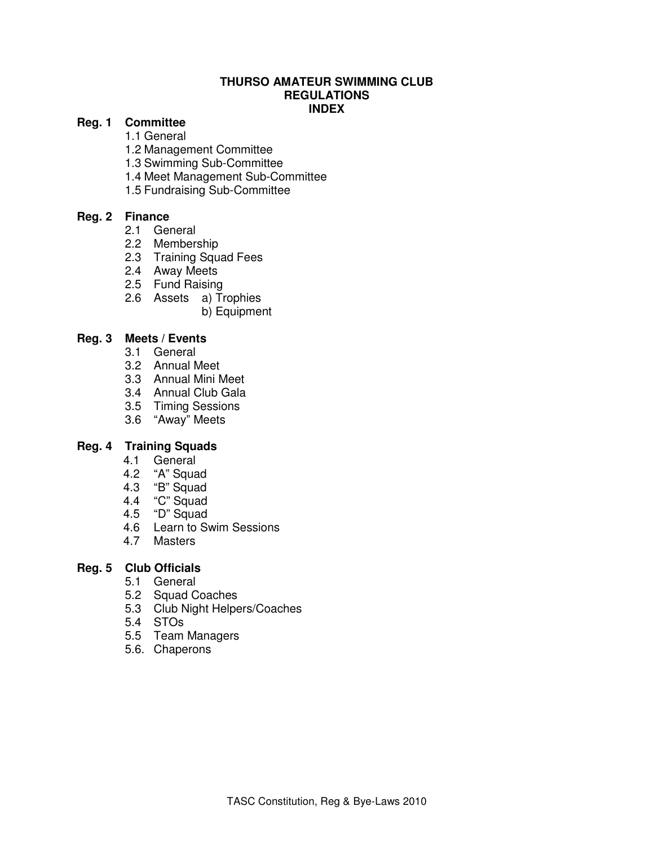## **THURSO AMATEUR SWIMMING CLUB REGULATIONS INDEX**

# **Reg. 1 Committee**

1.1 General

- 1.2 Management Committee
- 1.3 Swimming Sub-Committee
- 1.4 Meet Management Sub-Committee
- 1.5 Fundraising Sub-Committee

# **Reg. 2 Finance**

- 2.1 General
- 2.2 Membership
- 2.3 Training Squad Fees
- 2.4 Away Meets
- 2.5 Fund Raising
- 2.6 Assets a) Trophies
	- b) Equipment

# **Reg. 3 Meets / Events**

- 3.1 General
- 3.2 Annual Meet
- 3.3 Annual Mini Meet
- 3.4 Annual Club Gala
- 3.5 Timing Sessions
- 3.6 "Away" Meets

# **Reg. 4 Training Squads**

- 4.1 General
- 4.2 "A" Squad
- 4.3 "B" Squad
- 4.4 "C" Squad
- 4.5 "D" Squad
- 4.6 Learn to Swim Sessions
- 4.7 Masters
- **Reg. 5 Club Officials** 
	- 5.1 General
		- 5.2 Squad Coaches
	- 5.3 Club Night Helpers/Coaches
	- 5.4 STOs
	- 5.5 Team Managers
	- 5.6. Chaperons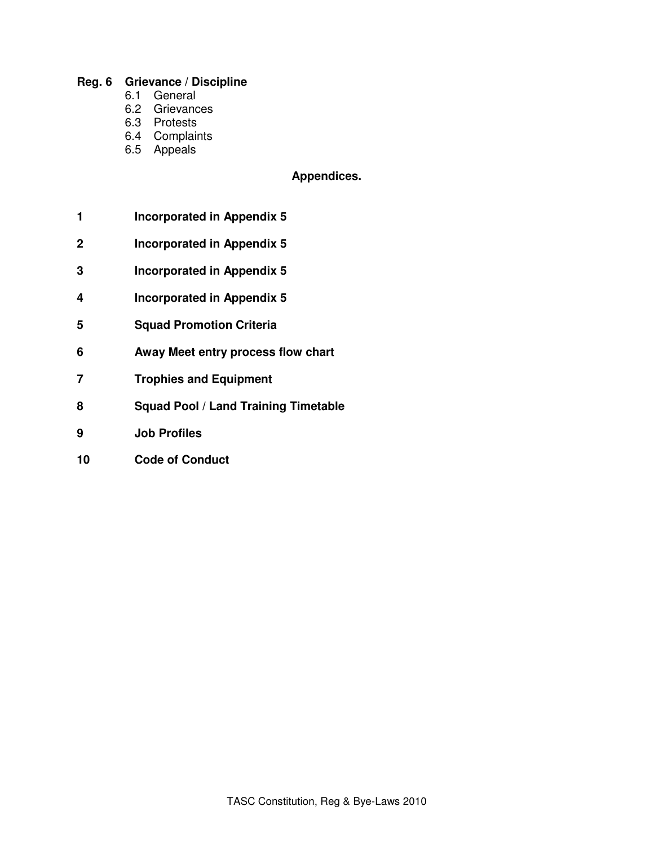## **Reg. 6 Grievance / Discipline**

- 6.1 General
- 6.2 Grievances
- 6.3 Protests
- 6.4 Complaints
- 6.5 Appeals

# **Appendices.**

- **1 Incorporated in Appendix 5**
- **2 Incorporated in Appendix 5**
- **3 Incorporated in Appendix 5**
- **4 Incorporated in Appendix 5**
- **5 Squad Promotion Criteria**
- **6 Away Meet entry process flow chart**
- **7 Trophies and Equipment**
- **8 Squad Pool / Land Training Timetable**
- **9 Job Profiles**
- **10 Code of Conduct**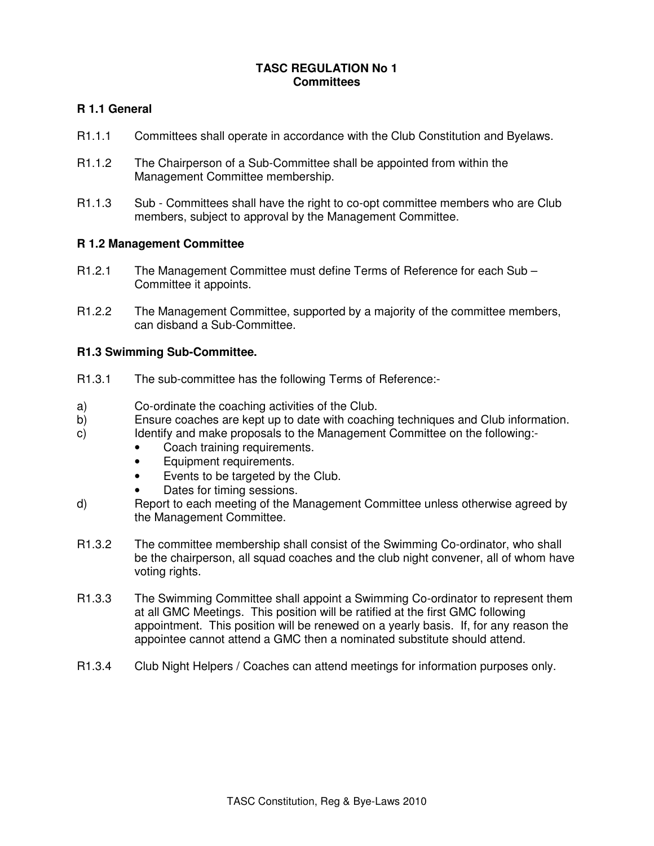# **TASC REGULATION No 1 Committees**

# **R 1.1 General**

- R1.1.1 Committees shall operate in accordance with the Club Constitution and Byelaws.
- R1.1.2 The Chairperson of a Sub-Committee shall be appointed from within the Management Committee membership.
- R1.1.3 Sub Committees shall have the right to co-opt committee members who are Club members, subject to approval by the Management Committee.

## **R 1.2 Management Committee**

- R1.2.1 The Management Committee must define Terms of Reference for each Sub Committee it appoints.
- R1.2.2 The Management Committee, supported by a majority of the committee members, can disband a Sub-Committee.

## **R1.3 Swimming Sub-Committee.**

- R1.3.1 The sub-committee has the following Terms of Reference:-
- a) Co-ordinate the coaching activities of the Club.
- b) Ensure coaches are kept up to date with coaching techniques and Club information.
- c) Identify and make proposals to the Management Committee on the following:-
	- Coach training requirements.
	- Equipment requirements.
	- Events to be targeted by the Club.
	- Dates for timing sessions.
- d) Report to each meeting of the Management Committee unless otherwise agreed by the Management Committee.
- R1.3.2 The committee membership shall consist of the Swimming Co-ordinator, who shall be the chairperson, all squad coaches and the club night convener, all of whom have voting rights.
- R1.3.3 The Swimming Committee shall appoint a Swimming Co-ordinator to represent them at all GMC Meetings. This position will be ratified at the first GMC following appointment. This position will be renewed on a yearly basis. If, for any reason the appointee cannot attend a GMC then a nominated substitute should attend.
- R1.3.4 Club Night Helpers / Coaches can attend meetings for information purposes only.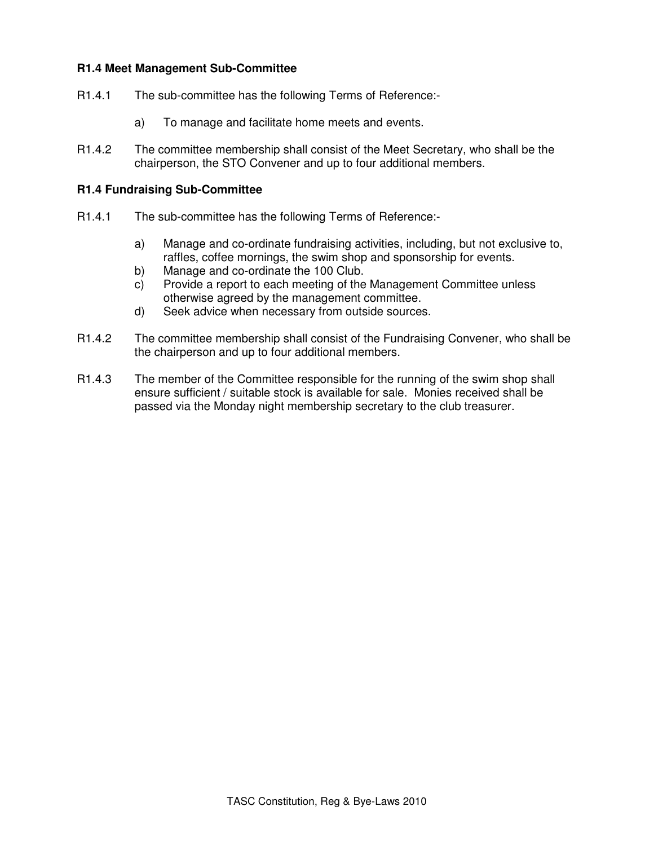# **R1.4 Meet Management Sub-Committee**

- R1.4.1 The sub-committee has the following Terms of Reference:
	- a) To manage and facilitate home meets and events.
- R1.4.2 The committee membership shall consist of the Meet Secretary, who shall be the chairperson, the STO Convener and up to four additional members.

## **R1.4 Fundraising Sub-Committee**

- R1.4.1 The sub-committee has the following Terms of Reference:
	- a) Manage and co-ordinate fundraising activities, including, but not exclusive to, raffles, coffee mornings, the swim shop and sponsorship for events.
	- b) Manage and co-ordinate the 100 Club.
	- c) Provide a report to each meeting of the Management Committee unless otherwise agreed by the management committee.
	- d) Seek advice when necessary from outside sources.
- R1.4.2 The committee membership shall consist of the Fundraising Convener, who shall be the chairperson and up to four additional members.
- R1.4.3 The member of the Committee responsible for the running of the swim shop shall ensure sufficient / suitable stock is available for sale. Monies received shall be passed via the Monday night membership secretary to the club treasurer.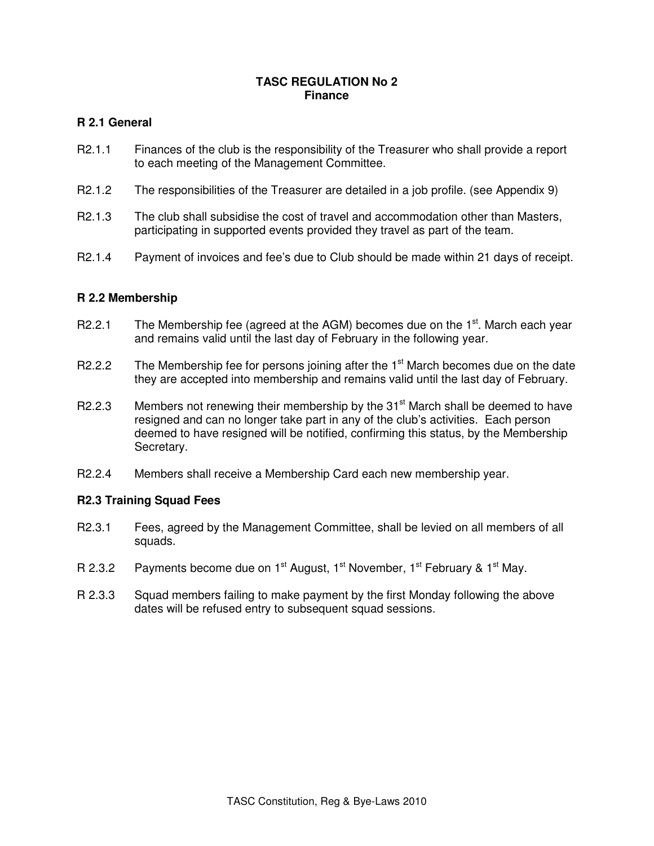## **TASC REGULATION No 2 Finance**

# **R 2.1 General**

- R2.1.1 Finances of the club is the responsibility of the Treasurer who shall provide a report to each meeting of the Management Committee.
- R2.1.2 The responsibilities of the Treasurer are detailed in a job profile. (see Appendix 9)
- R2.1.3 The club shall subsidise the cost of travel and accommodation other than Masters, participating in supported events provided they travel as part of the team.
- R2.1.4 Payment of invoices and fee's due to Club should be made within 21 days of receipt.

# **R 2.2 Membership**

- R2.2.1 The Membership fee (agreed at the AGM) becomes due on the  $1<sup>st</sup>$ . March each year and remains valid until the last day of February in the following year.
- R2.2.2 The Membership fee for persons joining after the  $1<sup>st</sup>$  March becomes due on the date they are accepted into membership and remains valid until the last day of February.
- R2.2.3 Members not renewing their membership by the  $31<sup>st</sup>$  March shall be deemed to have resigned and can no longer take part in any of the club's activities. Each person deemed to have resigned will be notified, confirming this status, by the Membership Secretary.
- R2.2.4 Members shall receive a Membership Card each new membership year.

# **R2.3 Training Squad Fees**

- R2.3.1 Fees, agreed by the Management Committee, shall be levied on all members of all squads.
- R 2.3.2 Payments become due on  $1^{st}$  August,  $1^{st}$  November,  $1^{st}$  February &  $1^{st}$  May.
- R 2.3.3 Squad members failing to make payment by the first Monday following the above dates will be refused entry to subsequent squad sessions.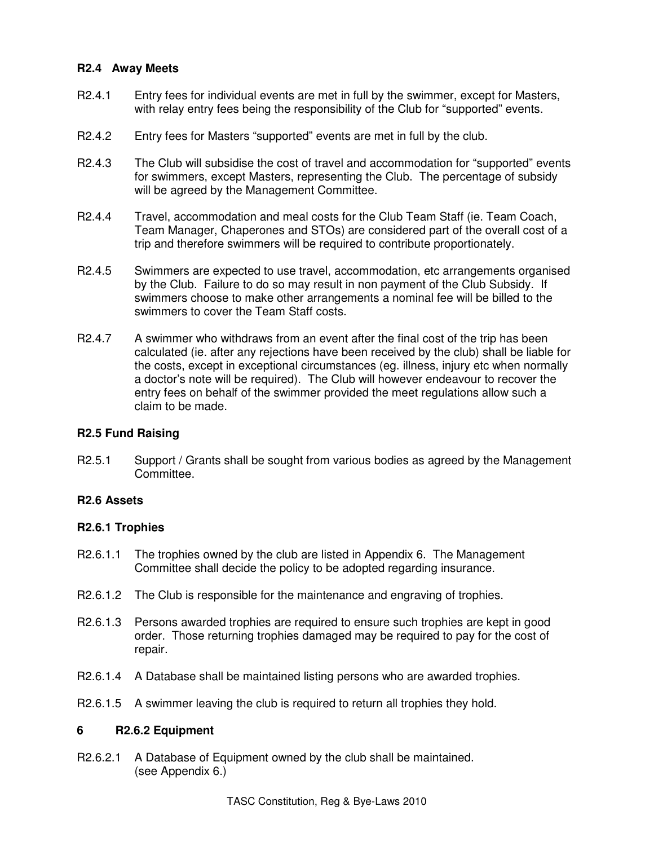# **R2.4 Away Meets**

- R2.4.1 Entry fees for individual events are met in full by the swimmer, except for Masters, with relay entry fees being the responsibility of the Club for "supported" events.
- R2.4.2 Entry fees for Masters "supported" events are met in full by the club.
- R2.4.3 The Club will subsidise the cost of travel and accommodation for "supported" events for swimmers, except Masters, representing the Club. The percentage of subsidy will be agreed by the Management Committee.
- R2.4.4 Travel, accommodation and meal costs for the Club Team Staff (ie. Team Coach, Team Manager, Chaperones and STOs) are considered part of the overall cost of a trip and therefore swimmers will be required to contribute proportionately.
- R2.4.5 Swimmers are expected to use travel, accommodation, etc arrangements organised by the Club. Failure to do so may result in non payment of the Club Subsidy. If swimmers choose to make other arrangements a nominal fee will be billed to the swimmers to cover the Team Staff costs.
- R2.4.7 A swimmer who withdraws from an event after the final cost of the trip has been calculated (ie. after any rejections have been received by the club) shall be liable for the costs, except in exceptional circumstances (eg. illness, injury etc when normally a doctor's note will be required). The Club will however endeavour to recover the entry fees on behalf of the swimmer provided the meet regulations allow such a claim to be made.

#### **R2.5 Fund Raising**

R2.5.1 Support / Grants shall be sought from various bodies as agreed by the Management Committee.

# **R2.6 Assets**

#### **R2.6.1 Trophies**

- R2.6.1.1 The trophies owned by the club are listed in Appendix 6. The Management Committee shall decide the policy to be adopted regarding insurance.
- R2.6.1.2 The Club is responsible for the maintenance and engraving of trophies.
- R2.6.1.3 Persons awarded trophies are required to ensure such trophies are kept in good order. Those returning trophies damaged may be required to pay for the cost of repair.
- R2.6.1.4 A Database shall be maintained listing persons who are awarded trophies.
- R2.6.1.5 A swimmer leaving the club is required to return all trophies they hold.

#### **6 R2.6.2 Equipment**

R2.6.2.1 A Database of Equipment owned by the club shall be maintained. (see Appendix 6.)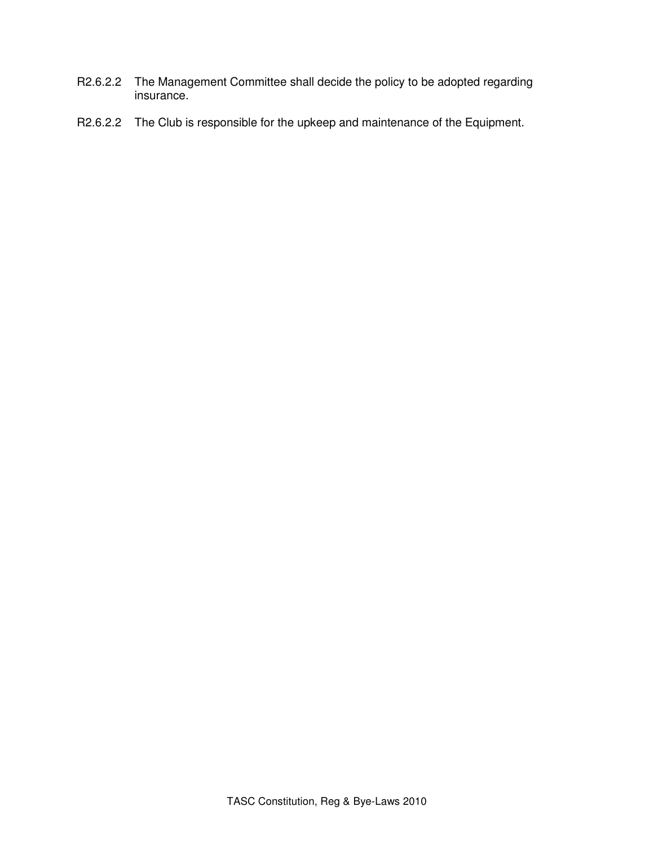- R2.6.2.2 The Management Committee shall decide the policy to be adopted regarding insurance.
- R2.6.2.2 The Club is responsible for the upkeep and maintenance of the Equipment.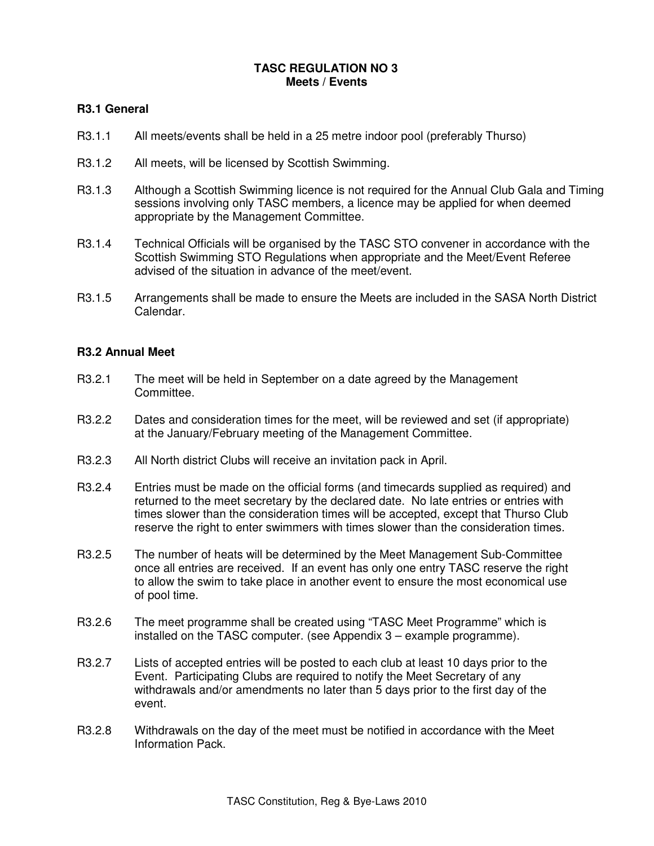## **TASC REGULATION NO 3 Meets / Events**

# **R3.1 General**

- R3.1.1 All meets/events shall be held in a 25 metre indoor pool (preferably Thurso)
- R3.1.2 All meets, will be licensed by Scottish Swimming.
- R3.1.3 Although a Scottish Swimming licence is not required for the Annual Club Gala and Timing sessions involving only TASC members, a licence may be applied for when deemed appropriate by the Management Committee.
- R3.1.4 Technical Officials will be organised by the TASC STO convener in accordance with the Scottish Swimming STO Regulations when appropriate and the Meet/Event Referee advised of the situation in advance of the meet/event.
- R3.1.5 Arrangements shall be made to ensure the Meets are included in the SASA North District Calendar.

## **R3.2 Annual Meet**

- R3.2.1 The meet will be held in September on a date agreed by the Management Committee.
- R3.2.2 Dates and consideration times for the meet, will be reviewed and set (if appropriate) at the January/February meeting of the Management Committee.
- R3.2.3 All North district Clubs will receive an invitation pack in April.
- R3.2.4 Entries must be made on the official forms (and timecards supplied as required) and returned to the meet secretary by the declared date. No late entries or entries with times slower than the consideration times will be accepted, except that Thurso Club reserve the right to enter swimmers with times slower than the consideration times.
- R3.2.5 The number of heats will be determined by the Meet Management Sub-Committee once all entries are received. If an event has only one entry TASC reserve the right to allow the swim to take place in another event to ensure the most economical use of pool time.
- R3.2.6 The meet programme shall be created using "TASC Meet Programme" which is installed on the TASC computer. (see Appendix 3 – example programme).
- R3.2.7 Lists of accepted entries will be posted to each club at least 10 days prior to the Event. Participating Clubs are required to notify the Meet Secretary of any withdrawals and/or amendments no later than 5 days prior to the first day of the event.
- R3.2.8 Withdrawals on the day of the meet must be notified in accordance with the Meet Information Pack.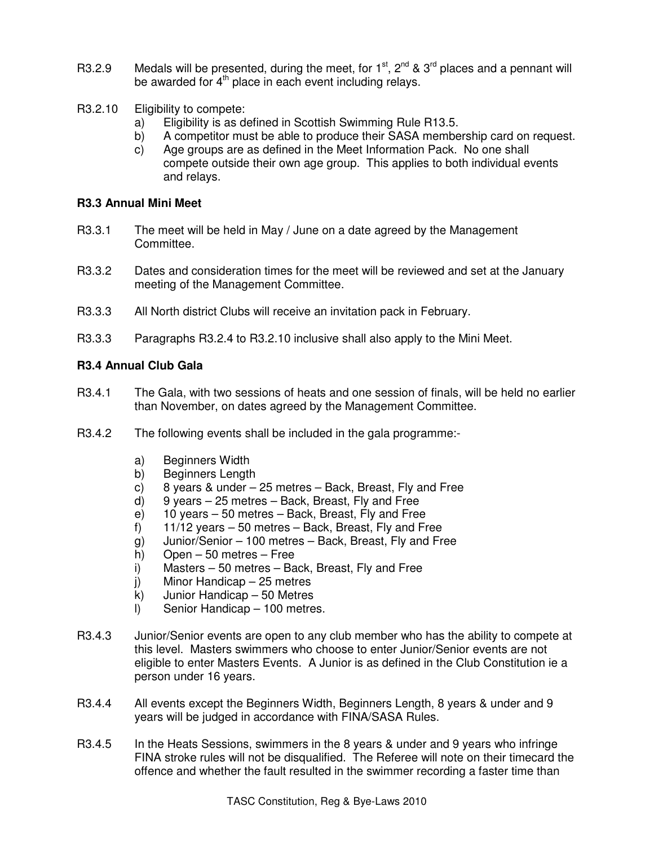- R3.2.9 Medals will be presented, during the meet, for  $1^{st}$ ,  $2^{nd}$  &  $3^{rd}$  places and a pennant will be awarded for 4<sup>th</sup> place in each event including relays.
- R3.2.10 Eligibility to compete:
	- a) Eligibility is as defined in Scottish Swimming Rule R13.5.
	- b) A competitor must be able to produce their SASA membership card on request.
	- c) Age groups are as defined in the Meet Information Pack. No one shall compete outside their own age group. This applies to both individual events and relays.

## **R3.3 Annual Mini Meet**

- R3.3.1 The meet will be held in May / June on a date agreed by the Management Committee.
- R3.3.2 Dates and consideration times for the meet will be reviewed and set at the January meeting of the Management Committee.
- R3.3.3 All North district Clubs will receive an invitation pack in February.
- R3.3.3 Paragraphs R3.2.4 to R3.2.10 inclusive shall also apply to the Mini Meet.

# **R3.4 Annual Club Gala**

- R3.4.1 The Gala, with two sessions of heats and one session of finals, will be held no earlier than November, on dates agreed by the Management Committee.
- R3.4.2 The following events shall be included in the gala programme:
	- a) Beginners Width
	- b) Beginners Length
	- c) 8 years & under 25 metres Back, Breast, Fly and Free
	- d) 9 years 25 metres Back, Breast, Fly and Free
	- e) 10 years 50 metres Back, Breast, Fly and Free
	- f) 11/12 years 50 metres Back, Breast, Fly and Free
	- g) Junior/Senior 100 metres Back, Breast, Fly and Free
	- h) Open 50 metres Free
	- i) Masters 50 metres Back, Breast, Fly and Free
	- j) Minor Handicap 25 metres
	- k) Junior Handicap 50 Metres
	- l) Senior Handicap 100 metres.
- R3.4.3 Junior/Senior events are open to any club member who has the ability to compete at this level. Masters swimmers who choose to enter Junior/Senior events are not eligible to enter Masters Events. A Junior is as defined in the Club Constitution ie a person under 16 years.
- R3.4.4 All events except the Beginners Width, Beginners Length, 8 years & under and 9 years will be judged in accordance with FINA/SASA Rules.
- R3.4.5 In the Heats Sessions, swimmers in the 8 years & under and 9 years who infringe FINA stroke rules will not be disqualified. The Referee will note on their timecard the offence and whether the fault resulted in the swimmer recording a faster time than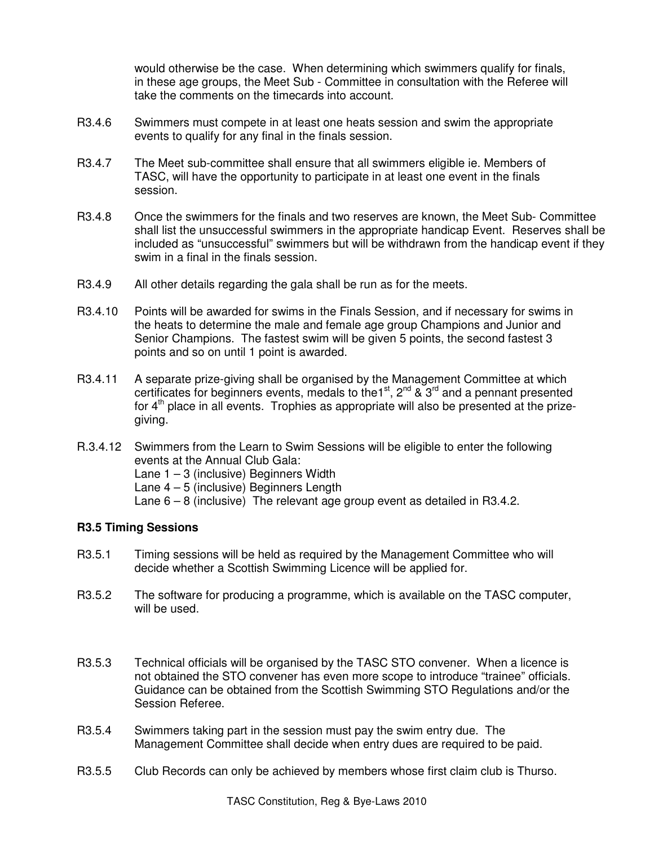would otherwise be the case. When determining which swimmers qualify for finals, in these age groups, the Meet Sub - Committee in consultation with the Referee will take the comments on the timecards into account.

- R3.4.6 Swimmers must compete in at least one heats session and swim the appropriate events to qualify for any final in the finals session.
- R3.4.7 The Meet sub-committee shall ensure that all swimmers eligible ie. Members of TASC, will have the opportunity to participate in at least one event in the finals session.
- R3.4.8 Once the swimmers for the finals and two reserves are known, the Meet Sub- Committee shall list the unsuccessful swimmers in the appropriate handicap Event. Reserves shall be included as "unsuccessful" swimmers but will be withdrawn from the handicap event if they swim in a final in the finals session.
- R3.4.9 All other details regarding the gala shall be run as for the meets.
- R3.4.10 Points will be awarded for swims in the Finals Session, and if necessary for swims in the heats to determine the male and female age group Champions and Junior and Senior Champions. The fastest swim will be given 5 points, the second fastest 3 points and so on until 1 point is awarded.
- R3.4.11 A separate prize-giving shall be organised by the Management Committee at which certificates for beginners events, medals to the<sup>1st</sup>,  $2^{nd}$  &  $3^{rd}$  and a pennant presented for  $4<sup>th</sup>$  place in all events. Trophies as appropriate will also be presented at the prizegiving.
- R.3.4.12 Swimmers from the Learn to Swim Sessions will be eligible to enter the following events at the Annual Club Gala:
	- Lane  $1 3$  (inclusive) Beginners Width
	- Lane 4 5 (inclusive) Beginners Length
	- Lane 6 8 (inclusive) The relevant age group event as detailed in R3.4.2.

# **R3.5 Timing Sessions**

- R3.5.1 Timing sessions will be held as required by the Management Committee who will decide whether a Scottish Swimming Licence will be applied for.
- R3.5.2 The software for producing a programme, which is available on the TASC computer, will be used.
- R3.5.3 Technical officials will be organised by the TASC STO convener. When a licence is not obtained the STO convener has even more scope to introduce "trainee" officials. Guidance can be obtained from the Scottish Swimming STO Regulations and/or the Session Referee.
- R3.5.4 Swimmers taking part in the session must pay the swim entry due. The Management Committee shall decide when entry dues are required to be paid.
- R3.5.5 Club Records can only be achieved by members whose first claim club is Thurso.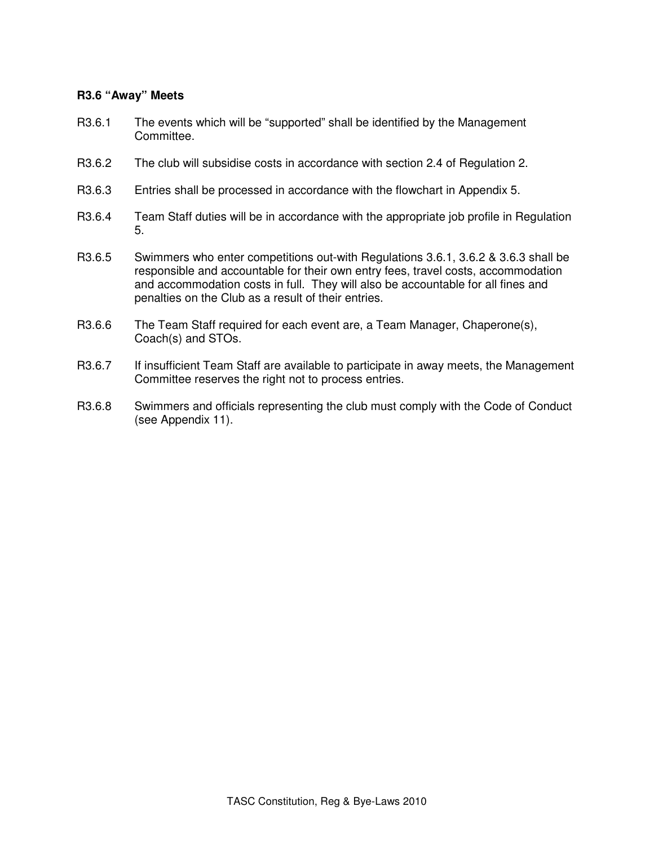# **R3.6 "Away" Meets**

- R3.6.1 The events which will be "supported" shall be identified by the Management Committee.
- R3.6.2 The club will subsidise costs in accordance with section 2.4 of Regulation 2.
- R3.6.3 Entries shall be processed in accordance with the flowchart in Appendix 5.
- R3.6.4 Team Staff duties will be in accordance with the appropriate job profile in Regulation 5.
- R3.6.5 Swimmers who enter competitions out-with Regulations 3.6.1, 3.6.2 & 3.6.3 shall be responsible and accountable for their own entry fees, travel costs, accommodation and accommodation costs in full. They will also be accountable for all fines and penalties on the Club as a result of their entries.
- R3.6.6 The Team Staff required for each event are, a Team Manager, Chaperone(s), Coach(s) and STOs.
- R3.6.7 If insufficient Team Staff are available to participate in away meets, the Management Committee reserves the right not to process entries.
- R3.6.8 Swimmers and officials representing the club must comply with the Code of Conduct (see Appendix 11).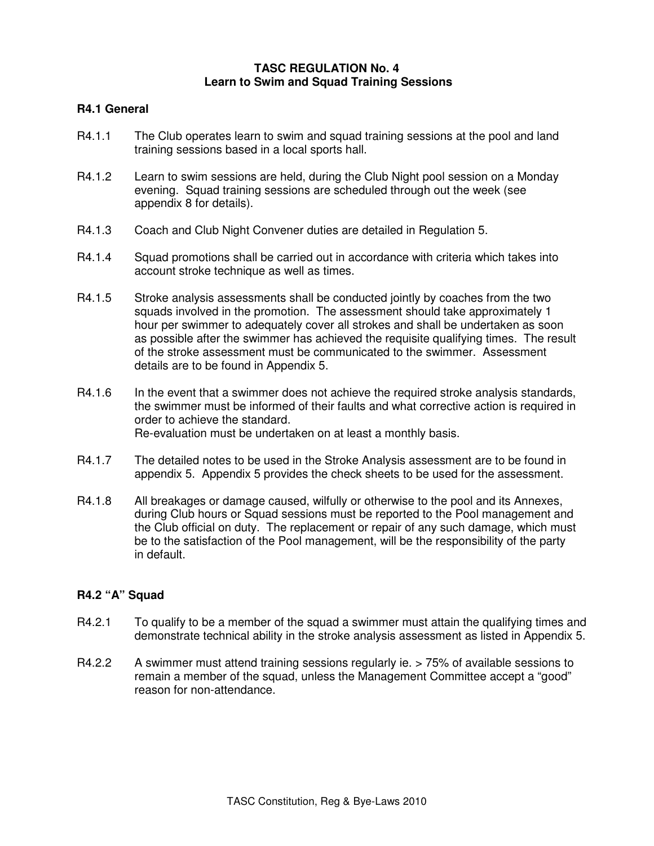## **TASC REGULATION No. 4 Learn to Swim and Squad Training Sessions**

## **R4.1 General**

- R4.1.1 The Club operates learn to swim and squad training sessions at the pool and land training sessions based in a local sports hall.
- R4.1.2 Learn to swim sessions are held, during the Club Night pool session on a Monday evening. Squad training sessions are scheduled through out the week (see appendix 8 for details).
- R4.1.3 Coach and Club Night Convener duties are detailed in Regulation 5.
- R4.1.4 Squad promotions shall be carried out in accordance with criteria which takes into account stroke technique as well as times.
- R4.1.5 Stroke analysis assessments shall be conducted jointly by coaches from the two squads involved in the promotion. The assessment should take approximately 1 hour per swimmer to adequately cover all strokes and shall be undertaken as soon as possible after the swimmer has achieved the requisite qualifying times. The result of the stroke assessment must be communicated to the swimmer. Assessment details are to be found in Appendix 5.
- R4.1.6 In the event that a swimmer does not achieve the required stroke analysis standards, the swimmer must be informed of their faults and what corrective action is required in order to achieve the standard. Re-evaluation must be undertaken on at least a monthly basis.
- R4.1.7 The detailed notes to be used in the Stroke Analysis assessment are to be found in appendix 5. Appendix 5 provides the check sheets to be used for the assessment.
- R4.1.8 All breakages or damage caused, wilfully or otherwise to the pool and its Annexes, during Club hours or Squad sessions must be reported to the Pool management and the Club official on duty. The replacement or repair of any such damage, which must be to the satisfaction of the Pool management, will be the responsibility of the party in default.

#### **R4.2 "A" Squad**

- R4.2.1 To qualify to be a member of the squad a swimmer must attain the qualifying times and demonstrate technical ability in the stroke analysis assessment as listed in Appendix 5.
- R4.2.2 A swimmer must attend training sessions regularly ie. > 75% of available sessions to remain a member of the squad, unless the Management Committee accept a "good" reason for non-attendance.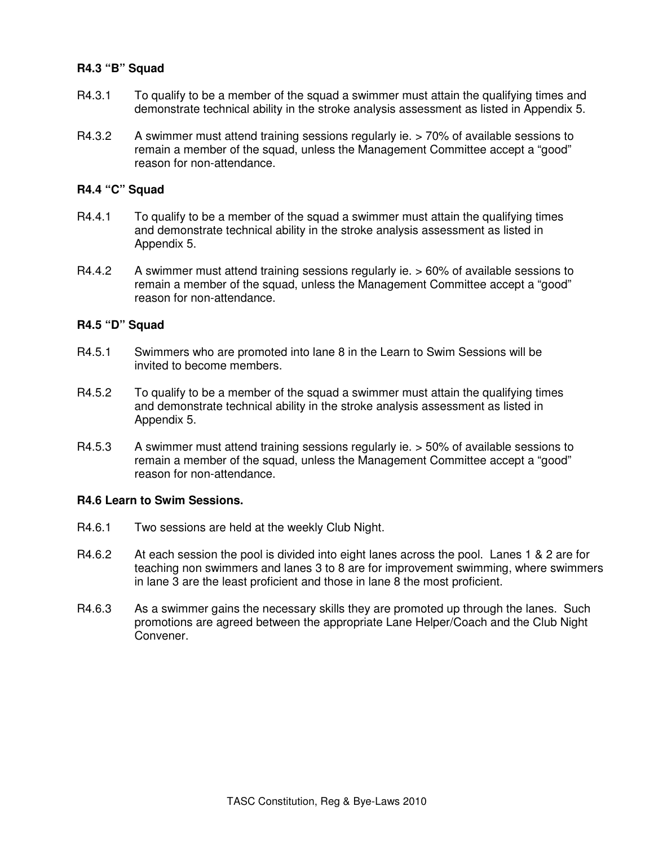## **R4.3 "B" Squad**

- R4.3.1 To qualify to be a member of the squad a swimmer must attain the qualifying times and demonstrate technical ability in the stroke analysis assessment as listed in Appendix 5.
- R4.3.2 A swimmer must attend training sessions regularly ie. > 70% of available sessions to remain a member of the squad, unless the Management Committee accept a "good" reason for non-attendance.

### **R4.4 "C" Squad**

- R4.4.1 To qualify to be a member of the squad a swimmer must attain the qualifying times and demonstrate technical ability in the stroke analysis assessment as listed in Appendix 5.
- R4.4.2 A swimmer must attend training sessions regularly ie. > 60% of available sessions to remain a member of the squad, unless the Management Committee accept a "good" reason for non-attendance.

#### **R4.5 "D" Squad**

- R4.5.1 Swimmers who are promoted into lane 8 in the Learn to Swim Sessions will be invited to become members.
- R4.5.2 To qualify to be a member of the squad a swimmer must attain the qualifying times and demonstrate technical ability in the stroke analysis assessment as listed in Appendix 5.
- R4.5.3 A swimmer must attend training sessions regularly ie. > 50% of available sessions to remain a member of the squad, unless the Management Committee accept a "good" reason for non-attendance.

### **R4.6 Learn to Swim Sessions.**

- R4.6.1 Two sessions are held at the weekly Club Night.
- R4.6.2 At each session the pool is divided into eight lanes across the pool. Lanes 1 & 2 are for teaching non swimmers and lanes 3 to 8 are for improvement swimming, where swimmers in lane 3 are the least proficient and those in lane 8 the most proficient.
- R4.6.3 As a swimmer gains the necessary skills they are promoted up through the lanes. Such promotions are agreed between the appropriate Lane Helper/Coach and the Club Night Convener.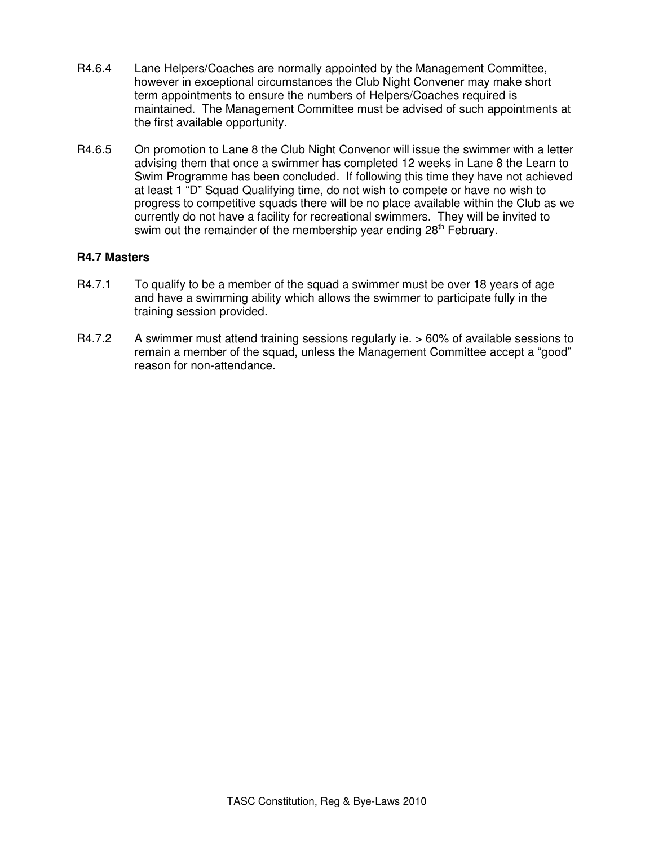- R4.6.4 Lane Helpers/Coaches are normally appointed by the Management Committee, however in exceptional circumstances the Club Night Convener may make short term appointments to ensure the numbers of Helpers/Coaches required is maintained. The Management Committee must be advised of such appointments at the first available opportunity.
- R4.6.5 On promotion to Lane 8 the Club Night Convenor will issue the swimmer with a letter advising them that once a swimmer has completed 12 weeks in Lane 8 the Learn to Swim Programme has been concluded. If following this time they have not achieved at least 1 "D" Squad Qualifying time, do not wish to compete or have no wish to progress to competitive squads there will be no place available within the Club as we currently do not have a facility for recreational swimmers. They will be invited to swim out the remainder of the membership year ending 28<sup>th</sup> February.

## **R4.7 Masters**

- R4.7.1 To qualify to be a member of the squad a swimmer must be over 18 years of age and have a swimming ability which allows the swimmer to participate fully in the training session provided.
- R4.7.2 A swimmer must attend training sessions regularly ie. > 60% of available sessions to remain a member of the squad, unless the Management Committee accept a "good" reason for non-attendance.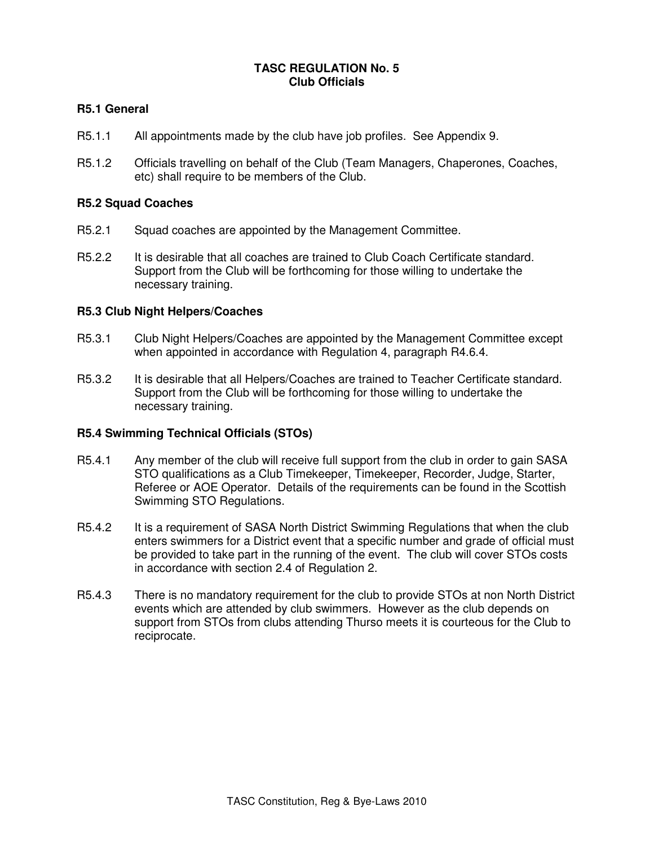# **TASC REGULATION No. 5 Club Officials**

# **R5.1 General**

- R5.1.1 All appointments made by the club have job profiles. See Appendix 9.
- R5.1.2 Officials travelling on behalf of the Club (Team Managers, Chaperones, Coaches, etc) shall require to be members of the Club.

## **R5.2 Squad Coaches**

- R5.2.1 Squad coaches are appointed by the Management Committee.
- R5.2.2 It is desirable that all coaches are trained to Club Coach Certificate standard. Support from the Club will be forthcoming for those willing to undertake the necessary training.

### **R5.3 Club Night Helpers/Coaches**

- R5.3.1 Club Night Helpers/Coaches are appointed by the Management Committee except when appointed in accordance with Regulation 4, paragraph R4.6.4.
- R5.3.2 It is desirable that all Helpers/Coaches are trained to Teacher Certificate standard. Support from the Club will be forthcoming for those willing to undertake the necessary training.

#### **R5.4 Swimming Technical Officials (STOs)**

- R5.4.1 Any member of the club will receive full support from the club in order to gain SASA STO qualifications as a Club Timekeeper, Timekeeper, Recorder, Judge, Starter, Referee or AOE Operator. Details of the requirements can be found in the Scottish Swimming STO Regulations.
- R5.4.2 It is a requirement of SASA North District Swimming Regulations that when the club enters swimmers for a District event that a specific number and grade of official must be provided to take part in the running of the event. The club will cover STOs costs in accordance with section 2.4 of Regulation 2.
- R5.4.3 There is no mandatory requirement for the club to provide STOs at non North District events which are attended by club swimmers. However as the club depends on support from STOs from clubs attending Thurso meets it is courteous for the Club to reciprocate.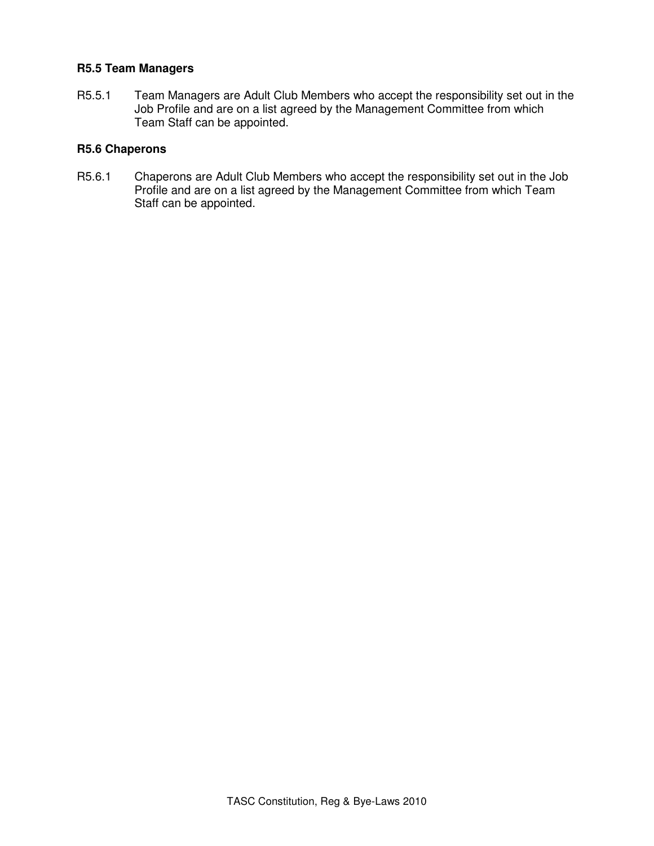## **R5.5 Team Managers**

R5.5.1 Team Managers are Adult Club Members who accept the responsibility set out in the Job Profile and are on a list agreed by the Management Committee from which Team Staff can be appointed.

## **R5.6 Chaperons**

R5.6.1 Chaperons are Adult Club Members who accept the responsibility set out in the Job Profile and are on a list agreed by the Management Committee from which Team Staff can be appointed.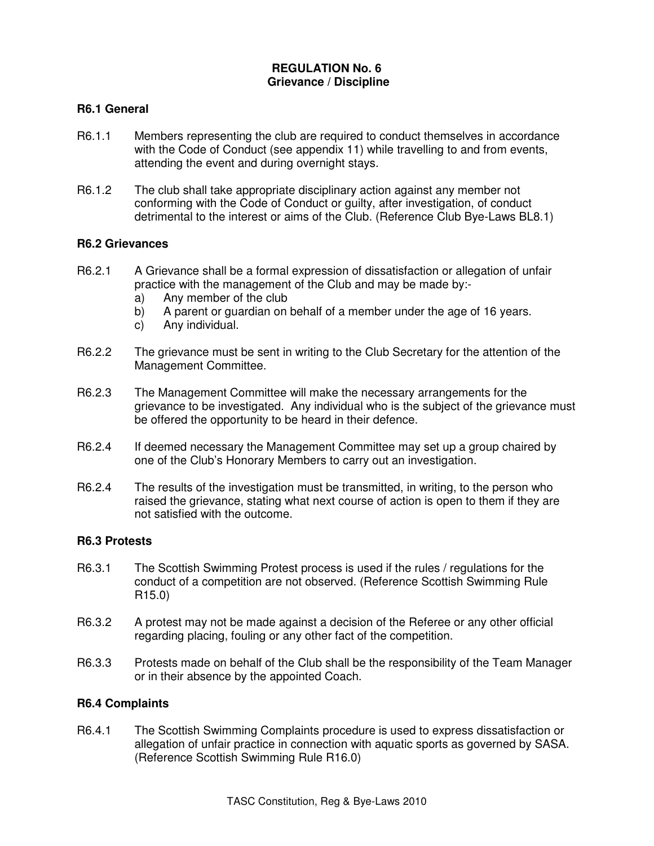# **REGULATION No. 6 Grievance / Discipline**

# **R6.1 General**

- R6.1.1 Members representing the club are required to conduct themselves in accordance with the Code of Conduct (see appendix 11) while travelling to and from events, attending the event and during overnight stays.
- R6.1.2 The club shall take appropriate disciplinary action against any member not conforming with the Code of Conduct or guilty, after investigation, of conduct detrimental to the interest or aims of the Club. (Reference Club Bye-Laws BL8.1)

#### **R6.2 Grievances**

- R6.2.1 A Grievance shall be a formal expression of dissatisfaction or allegation of unfair practice with the management of the Club and may be made by:
	- a) Any member of the club
	- b) A parent or guardian on behalf of a member under the age of 16 years.
	- c) Any individual.
- R6.2.2 The grievance must be sent in writing to the Club Secretary for the attention of the Management Committee.
- R6.2.3 The Management Committee will make the necessary arrangements for the grievance to be investigated. Any individual who is the subject of the grievance must be offered the opportunity to be heard in their defence.
- R6.2.4 If deemed necessary the Management Committee may set up a group chaired by one of the Club's Honorary Members to carry out an investigation.
- R6.2.4 The results of the investigation must be transmitted, in writing, to the person who raised the grievance, stating what next course of action is open to them if they are not satisfied with the outcome.

## **R6.3 Protests**

- R6.3.1 The Scottish Swimming Protest process is used if the rules / regulations for the conduct of a competition are not observed. (Reference Scottish Swimming Rule R15.0)
- R6.3.2 A protest may not be made against a decision of the Referee or any other official regarding placing, fouling or any other fact of the competition.
- R6.3.3 Protests made on behalf of the Club shall be the responsibility of the Team Manager or in their absence by the appointed Coach.

# **R6.4 Complaints**

R6.4.1 The Scottish Swimming Complaints procedure is used to express dissatisfaction or allegation of unfair practice in connection with aquatic sports as governed by SASA. (Reference Scottish Swimming Rule R16.0)